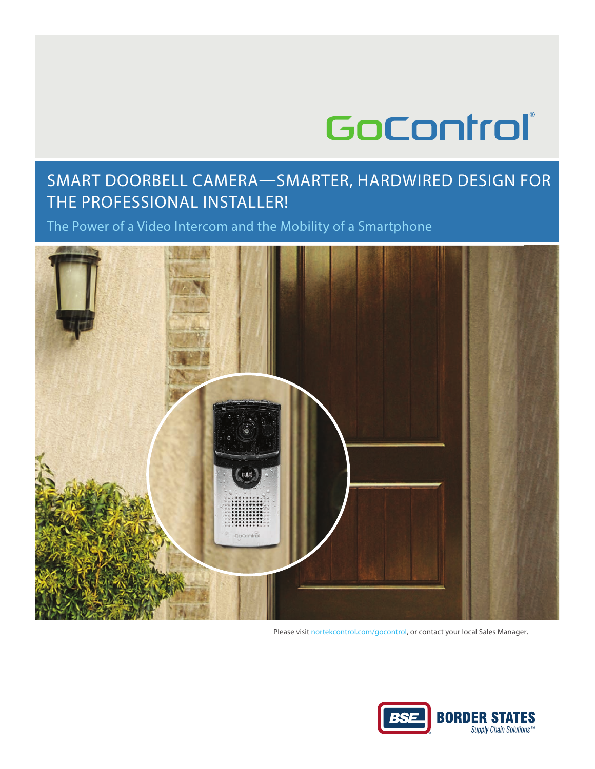# GoControl®

# Smart DoorBell Camera—Smarter, HarDWIreD DeSIGN For THE PROFESSIONAL INSTALLER!

the Power of a Video Intercom and the mobility of a Smartphone



Please visit nortekcontrol.com/gocontrol, or contact your local Sales Manager.

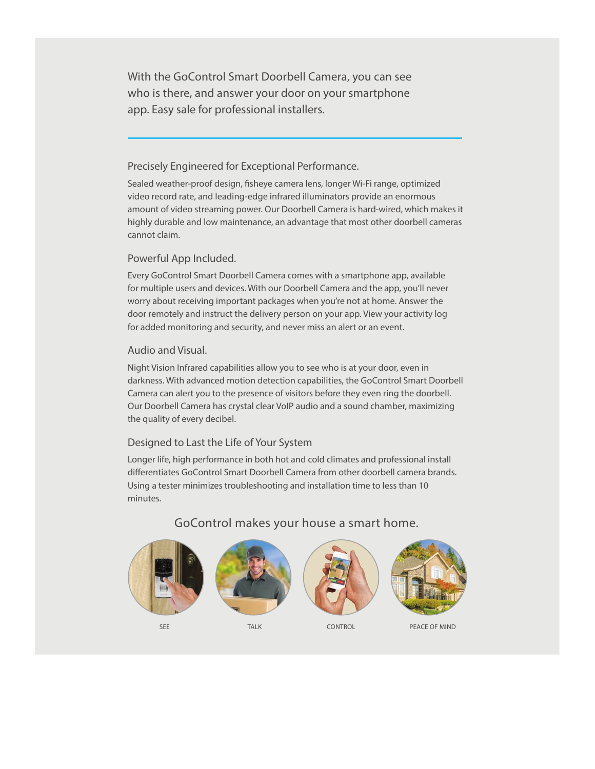With the GoControl Smart Doorbell Camera, you can see who is there, and answer your door on your smartphone app. Easy sale for professional installers.

#### Precisely Engineered for Exceptional Performance.

Sealed weather-proof design, fisheye camera lens, longer Wi-Fi range, optimized video record rate, and leading-edge infrared illuminators provide an enormous amount of video streaming power. Our Doorbell Camera is hard-wired, which makes it highly durable and low maintenance, an advantage that most other doorbell cameras cannot claim.

#### Powerful app Included.

Every GoControl Smart Doorbell Camera comes with a smartphone app, available for multiple users and devices. With our Doorbell Camera and the app, you'll never worry about receiving important packages when you're not at home. Answer the door remotely and instruct the delivery person on your app. View your activity log for added monitoring and security, and never miss an alert or an event.

#### audio and Visual.

Night Vision Infrared capabilities allow you to see who is at your door, even in darkness. With advanced motion detection capabilities, the GoControl Smart Doorbell Camera can alert you to the presence of visitors before they even ring the doorbell. our Doorbell Camera has crystal clear VoIP audio and a sound chamber, maximizing the quality of every decibel.

#### Designed to last the life of Your System

longer life, high performance in both hot and cold climates and professional install differentiates GoControl Smart Doorbell Camera from other doorbell camera brands. Using a tester minimizes troubleshooting and installation time to less than 10 minutes.



## GoControl makes your house a smart home.



SEE TALK TALK CONTROL PEACE OF MIND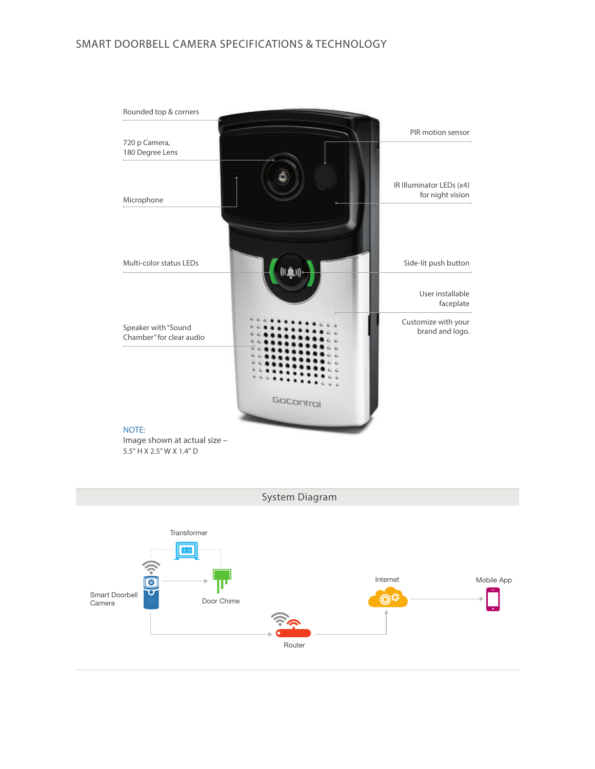# Smart DoorBell Camera SPeCIFICatIoNS & teCHNoloGY



5.5" H X 2.5" W X 1.4" D